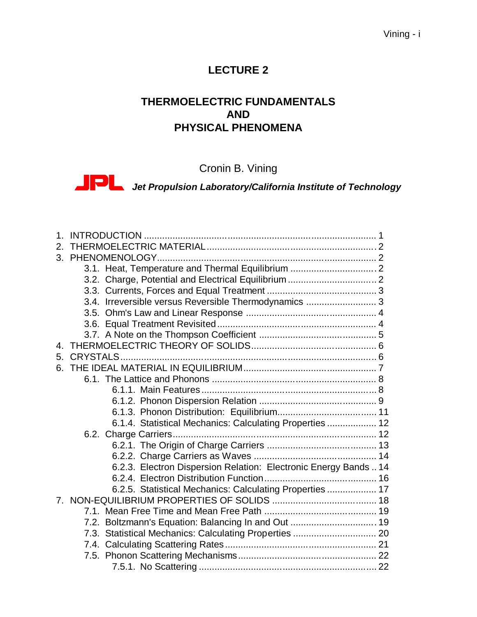#### Vining - i

# **LECTURE 2**

# **THERMOELECTRIC FUNDAMENTALS AND PHYSICAL PHENOMENA**

Cronin B. Vining

*Jet Propulsion Laboratory/California Institute of Technology*

| 1 <sup>1</sup> |                                                                  |  |
|----------------|------------------------------------------------------------------|--|
| 2.             |                                                                  |  |
|                |                                                                  |  |
|                | 3.1. Heat, Temperature and Thermal Equilibrium  2                |  |
|                | 3.2. Charge, Potential and Electrical Equilibrium  2             |  |
|                |                                                                  |  |
|                | 3.4. Irreversible versus Reversible Thermodynamics  3            |  |
|                |                                                                  |  |
|                |                                                                  |  |
|                |                                                                  |  |
| 4.             |                                                                  |  |
| 5.             |                                                                  |  |
|                |                                                                  |  |
|                |                                                                  |  |
|                |                                                                  |  |
|                |                                                                  |  |
|                |                                                                  |  |
|                | 6.1.4. Statistical Mechanics: Calculating Properties  12         |  |
|                |                                                                  |  |
|                |                                                                  |  |
|                |                                                                  |  |
|                | 6.2.3. Electron Dispersion Relation: Electronic Energy Bands  14 |  |
|                |                                                                  |  |
|                | 6.2.5. Statistical Mechanics: Calculating Properties  17         |  |
|                |                                                                  |  |
|                |                                                                  |  |
|                | 7.2. Boltzmann's Equation: Balancing In and Out  19              |  |
|                | 7.3. Statistical Mechanics: Calculating Properties  20           |  |
|                |                                                                  |  |
|                |                                                                  |  |
|                |                                                                  |  |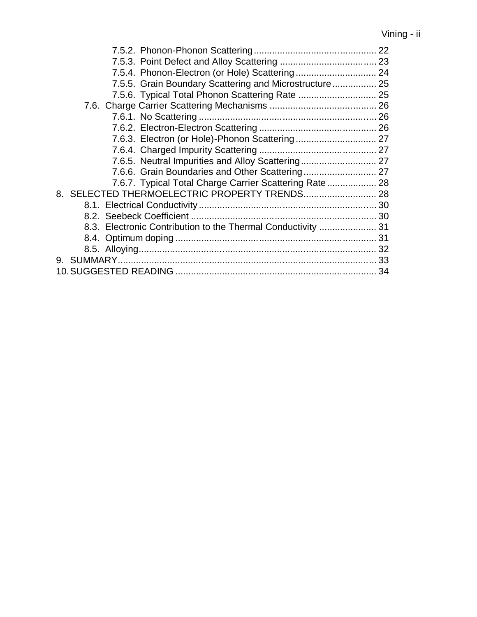| 7.5.5. Grain Boundary Scattering and Microstructure 25       |  |
|--------------------------------------------------------------|--|
|                                                              |  |
|                                                              |  |
|                                                              |  |
|                                                              |  |
|                                                              |  |
|                                                              |  |
|                                                              |  |
|                                                              |  |
| 7.6.7. Typical Total Charge Carrier Scattering Rate 28       |  |
|                                                              |  |
|                                                              |  |
|                                                              |  |
| 8.3. Electronic Contribution to the Thermal Conductivity  31 |  |
|                                                              |  |
|                                                              |  |
|                                                              |  |
|                                                              |  |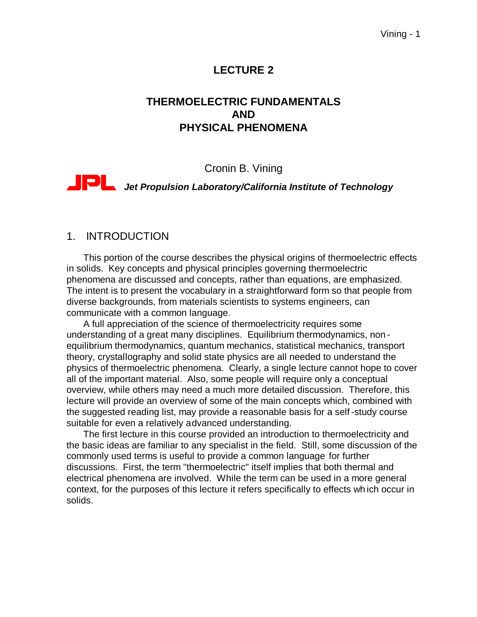# **LECTURE 2**

# **THERMOELECTRIC FUNDAMENTALS AND PHYSICAL PHENOMENA**

#### Cronin B. Vining

# *Jet Propulsion Laboratory/California Institute of Technology*

#### 1. INTRODUCTION

This portion of the course describes the physical origins of thermoelectric effects in solids. Key concepts and physical principles governing thermoelectric phenomena are discussed and concepts, rather than equations, are emphasized. The intent is to present the vocabulary in a straightforward form so that people from diverse backgrounds, from materials scientists to systems engineers, can communicate with a common language.

A full appreciation of the science of thermoelectricity requires some understanding of a great many disciplines. Equilibrium thermodynamics, non equilibrium thermodynamics, quantum mechanics, statistical mechanics, transport theory, crystallography and solid state physics are all needed to understand the physics of thermoelectric phenomena. Clearly, a single lecture cannot hope to cover all of the important material. Also, some people will require only a conceptual overview, while others may need a much more detailed discussion. Therefore, this lecture will provide an overview of some of the main concepts which, combined with the suggested reading list, may provide a reasonable basis for a self-study course suitable for even a relatively advanced understanding.

The first lecture in this course provided an introduction to thermoelectricity and the basic ideas are familiar to any specialist in the field. Still, some discussion of the commonly used terms is useful to provide a common language for further discussions. First, the term "thermoelectric" itself implies that both thermal and electrical phenomena are involved. While the term can be used in a more general context, for the purposes of this lecture it refers specifically to effects wh ich occur in solids.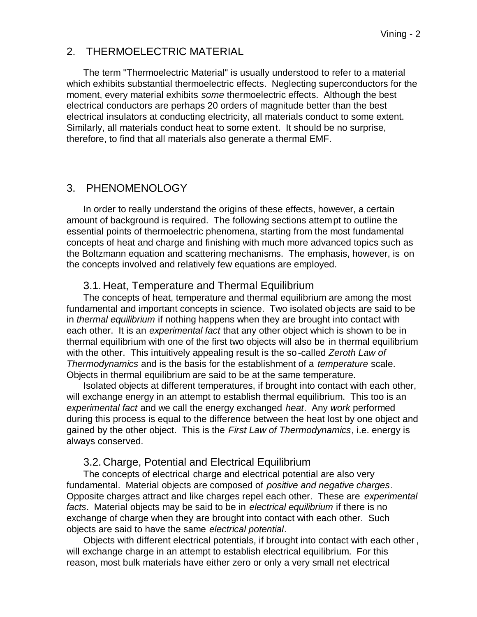#### 2. THERMOELECTRIC MATERIAL

The term "Thermoelectric Material" is usually understood to refer to a material which exhibits substantial thermoelectric effects. Neglecting superconductors for the moment, every material exhibits *some* thermoelectric effects. Although the best electrical conductors are perhaps 20 orders of magnitude better than the best electrical insulators at conducting electricity, all materials conduct to some extent. Similarly, all materials conduct heat to some extent. It should be no surprise, therefore, to find that all materials also generate a thermal EMF.

### 3. PHENOMENOLOGY

In order to really understand the origins of these effects, however, a certain amount of background is required. The following sections attempt to outline the essential points of thermoelectric phenomena, starting from the most fundamental concepts of heat and charge and finishing with much more advanced topics such as the Boltzmann equation and scattering mechanisms. The emphasis, however, is on the concepts involved and relatively few equations are employed.

### 3.1. Heat, Temperature and Thermal Equilibrium

The concepts of heat, temperature and thermal equilibrium are among the most fundamental and important concepts in science. Two isolated ob jects are said to be in *thermal equilibrium* if nothing happens when they are brought into contact with each other. It is an *experimental fact* that any other object which is shown to be in thermal equilibrium with one of the first two objects will also be in thermal equilibrium with the other. This intuitively appealing result is the so-called *Zeroth Law of Thermodynamics* and is the basis for the establishment of a *temperature* scale. Objects in thermal equilibrium are said to be at the same temperature.

Isolated objects at different temperatures, if brought into contact with each other, will exchange energy in an attempt to establish thermal equilibrium. This too is an *experimental fact* and we call the energy exchanged *heat*. Any *work* performed during this process is equal to the difference between the heat lost by one object and gained by the other object. This is the *First Law of Thermodynamics*, i.e. energy is always conserved.

#### 3.2. Charge, Potential and Electrical Equilibrium

The concepts of electrical charge and electrical potential are also very fundamental. Material objects are composed of *positive and negative charges*. Opposite charges attract and like charges repel each other. These are *experimental facts*. Material objects may be said to be in *electrical equilibrium* if there is no exchange of charge when they are brought into contact with each other. Such objects are said to have the same *electrical potential*.

Objects with different electrical potentials, if brought into contact with each other , will exchange charge in an attempt to establish electrical equilibrium. For this reason, most bulk materials have either zero or only a very small net electrical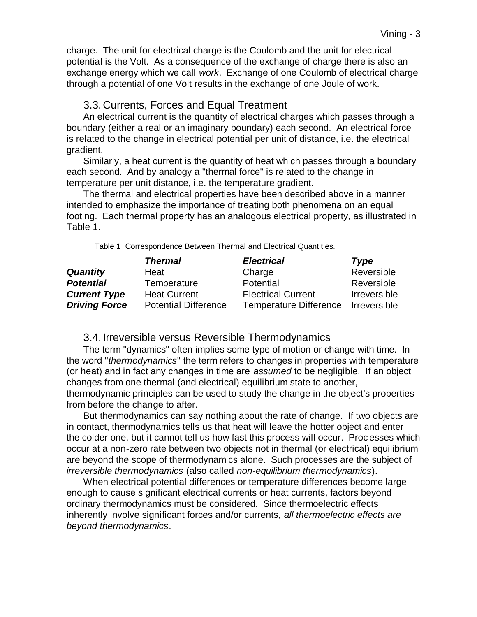charge. The unit for electrical charge is the Coulomb and the unit for electrical potential is the Volt. As a consequence of the exchange of charge there is also an exchange energy which we call *work*. Exchange of one Coulomb of electrical charge through a potential of one Volt results in the exchange of one Joule of work.

#### 3.3. Currents, Forces and Equal Treatment

An electrical current is the quantity of electrical charges which passes through a boundary (either a real or an imaginary boundary) each second. An electrical force is related to the change in electrical potential per unit of distan ce, i.e. the electrical gradient.

Similarly, a heat current is the quantity of heat which passes through a boundary each second. And by analogy a "thermal force" is related to the change in temperature per unit distance, i.e. the temperature gradient.

The thermal and electrical properties have been described above in a manner intended to emphasize the importance of treating both phenomena on an equal footing. Each thermal property has an analogous electrical property, as illustrated in Table 1.

Table 1 Correspondence Between Thermal and Electrical Quantities.

|                      | <b>Thermal</b>              | <b>Electrical</b>             | Type                |
|----------------------|-----------------------------|-------------------------------|---------------------|
| <b>Quantity</b>      | Heat                        | Charge                        | Reversible          |
| <b>Potential</b>     | Temperature                 | Potential                     | Reversible          |
| <b>Current Type</b>  | <b>Heat Current</b>         | <b>Electrical Current</b>     | <b>Irreversible</b> |
| <b>Driving Force</b> | <b>Potential Difference</b> | <b>Temperature Difference</b> | Irreversible        |

#### 3.4. Irreversible versus Reversible Thermodynamics

The term "dynamics" often implies some type of motion or change with time. In the word "*thermodynamics*" the term refers to changes in properties with temperature (or heat) and in fact any changes in time are *assumed* to be negligible. If an object changes from one thermal (and electrical) equilibrium state to another, thermodynamic principles can be used to study the change in the object's properties from before the change to after.

But thermodynamics can say nothing about the rate of change. If two objects are in contact, thermodynamics tells us that heat will leave the hotter object and enter the colder one, but it cannot tell us how fast this process will occur. Proc esses which occur at a non-zero rate between two objects not in thermal (or electrical) equilibrium are beyond the scope of thermodynamics alone. Such processes are the subject of *irreversible thermodynamics* (also called *non-equilibrium thermodynamics*).

When electrical potential differences or temperature differences become large enough to cause significant electrical currents or heat currents, factors beyond ordinary thermodynamics must be considered. Since thermoelectric effects inherently involve significant forces and/or currents, *all thermoelectric effects are beyond thermodynamics*.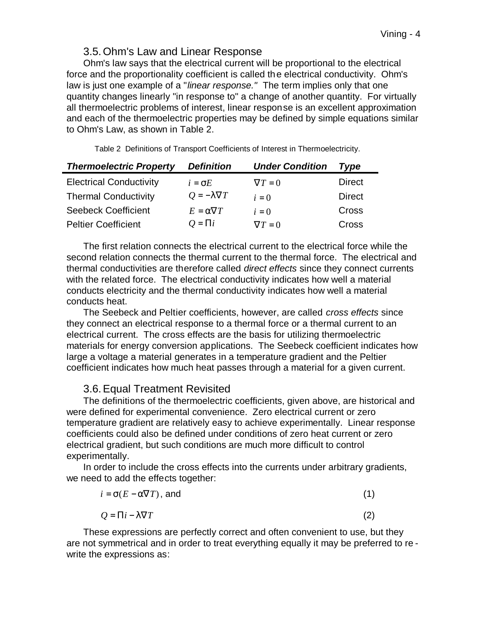#### 3.5.Ohm's Law and Linear Response

Ohm's law says that the electrical current will be proportional to the electrical force and the proportionality coefficient is called the electrical conductivity. Ohm's law is just one example of a "*linear response."* The term implies only that one quantity changes linearly "in response to" a change of another quantity. For virtually all thermoelectric problems of interest, linear response is an excellent approximation and each of the thermoelectric properties may be defined by simple equations similar to Ohm's Law, as shown in Table 2.

Table 2 Definitions of Transport Coefficients of Interest in Thermoelectricity.

| <b>Thermoelectric Property</b> | <b>Definition</b>       | <b>Under Condition</b> | Type          |
|--------------------------------|-------------------------|------------------------|---------------|
| <b>Electrical Conductivity</b> | $i = \sigma E$          | $\nabla T=0$           | <b>Direct</b> |
| <b>Thermal Conductivity</b>    | $Q = -\lambda \nabla T$ | $i=0$                  | <b>Direct</b> |
| <b>Seebeck Coefficient</b>     | $E = \alpha \nabla T$   | $i=0$                  | Cross         |
| <b>Peltier Coefficient</b>     | $Q = \prod_i$           | $\nabla T = 0$         | <b>Cross</b>  |

The first relation connects the electrical current to the electrical force while the second relation connects the thermal current to the thermal force. The electrical and thermal conductivities are therefore called *direct effects* since they connect currents with the related force. The electrical conductivity indicates how well a material conducts electricity and the thermal conductivity indicates how well a material conducts heat.

The Seebeck and Peltier coefficients, however, are called *cross effects* since they connect an electrical response to a thermal force or a thermal current to an electrical current. The cross effects are the basis for utilizing thermoelectric materials for energy conversion applications. The Seebeck coefficient indicates how large a voltage a material generates in a temperature gradient and the Peltier coefficient indicates how much heat passes through a material for a given current.

# 3.6.Equal Treatment Revisited

The definitions of the thermoelectric coefficients, given above, are historical and were defined for experimental convenience. Zero electrical current or zero temperature gradient are relatively easy to achieve experimentally. Linear response coefficients could also be defined under conditions of zero heat current or zero electrical gradient, but such conditions are much more difficult to control experimentally.

In order to include the cross effects into the currents under arbitrary gradients, we need to add the effects together:

| $i = \sigma(E - \alpha \nabla T)$ , and | (1) |
|-----------------------------------------|-----|
| $Q = \Pi i - \lambda \nabla T$          | (2) |

These expressions are perfectly correct and often convenient to use, but they are not symmetrical and in order to treat everything equally it may be preferred to re write the expressions as: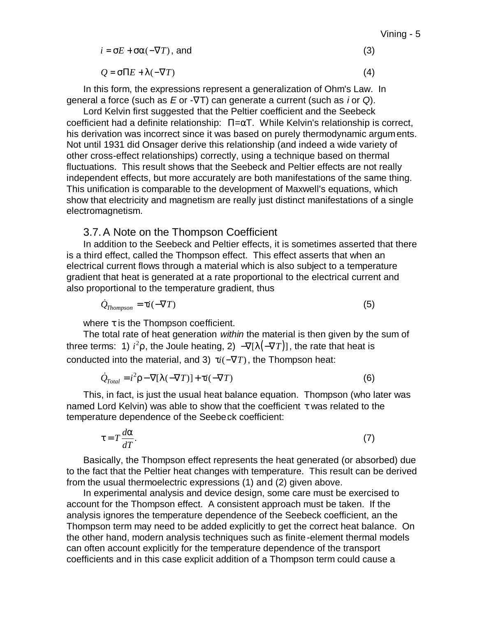| $i = \sigma E + \sigma \alpha (-\nabla T)$ , and | (3) |
|--------------------------------------------------|-----|
|                                                  |     |

 $Q = \sigma \Pi E + \lambda (-\nabla T)$  (4)

In this form, the expressions represent a generalization of Ohm's Law. In general a force (such as *E* or -∇T) can generate a current (such as *i* or *Q*).

Lord Kelvin first suggested that the Peltier coefficient and the Seebeck coefficient had a definite relationship:  $\Pi = \alpha T$ . While Kelvin's relationship is correct, his derivation was incorrect since it was based on purely thermodynamic arguments. Not until 1931 did Onsager derive this relationship (and indeed a wide variety of other cross-effect relationships) correctly, using a technique based on thermal fluctuations. This result shows that the Seebeck and Peltier effects are not really independent effects, but more accurately are both manifestations of the same thing. This unification is comparable to the development of Maxwell's equations, which show that electricity and magnetism are really just distinct manifestations of a single electromagnetism.

#### 3.7.A Note on the Thompson Coefficient

In addition to the Seebeck and Peltier effects, it is sometimes asserted that there is a third effect, called the Thompson effect. This effect asserts that when an electrical current flows through a material which is also subject to a temperature gradient that heat is generated at a rate proportional to the electrical current and also proportional to the temperature gradient, thus

$$
\dot{Q}_{Thompson} = \tau i (-\nabla T) \tag{5}
$$

where  $\tau$  is the Thompson coefficient.

The total rate of heat generation *within* the material is then given by the sum of three terms: 1)  $i^2 \rho$ , the Joule heating, 2)  $-\nabla [I(-\nabla T)]$ , the rate that heat is conducted into the material, and 3)  $\tau i(-\nabla T)$ , the Thompson heat:

$$
\dot{Q}_{Total} = i^2 \rho - \nabla [\lambda(-\nabla T)] + \tau i(-\nabla T)
$$
\n(6)

This, in fact, is just the usual heat balance equation. Thompson (who later was named Lord Kelvin) was able to show that the coefficient  $\tau$  was related to the temperature dependence of the Seebeck coefficient:

$$
\tau = T \frac{d\alpha}{dT}.
$$
 (7)

Basically, the Thompson effect represents the heat generated (or absorbed) due to the fact that the Peltier heat changes with temperature. This result can be derived from the usual thermoelectric expressions (1) and (2) given above.

In experimental analysis and device design, some care must be exercised to account for the Thompson effect. A consistent approach must be taken. If the analysis ignores the temperature dependence of the Seebeck coefficient, an the Thompson term may need to be added explicitly to get the correct heat balance. On the other hand, modern analysis techniques such as finite-element thermal models can often account explicitly for the temperature dependence of the transport coefficients and in this case explicit addition of a Thompson term could cause a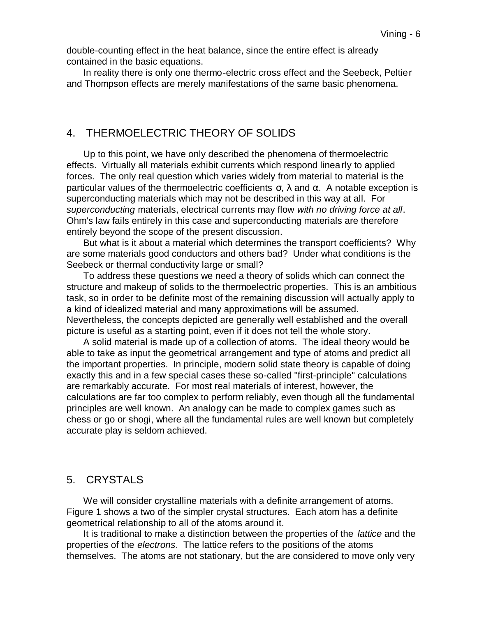double-counting effect in the heat balance, since the entire effect is already contained in the basic equations.

In reality there is only one thermo-electric cross effect and the Seebeck, Peltier and Thompson effects are merely manifestations of the same basic phenomena.

#### 4. THERMOELECTRIC THEORY OF SOLIDS

Up to this point, we have only described the phenomena of thermoelectric effects. Virtually all materials exhibit currents which respond linearly to applied forces. The only real question which varies widely from material to material is the particular values of the thermoelectric coefficients σ, λ and α. A notable exception is superconducting materials which may not be described in this way at all. For *superconducting* materials, electrical currents may flow *with no driving force at all*. Ohm's law fails entirely in this case and superconducting materials are therefore entirely beyond the scope of the present discussion.

But what is it about a material which determines the transport coefficients? Why are some materials good conductors and others bad? Under what conditions is the Seebeck or thermal conductivity large or small?

To address these questions we need a theory of solids which can connect the structure and makeup of solids to the thermoelectric properties. This is an ambitious task, so in order to be definite most of the remaining discussion will actually apply to a kind of idealized material and many approximations will be assumed. Nevertheless, the concepts depicted are generally well established and the overall picture is useful as a starting point, even if it does not tell the whole story.

A solid material is made up of a collection of atoms. The ideal theory would be able to take as input the geometrical arrangement and type of atoms and predict all the important properties. In principle, modern solid state theory is capable of doing exactly this and in a few special cases these so-called "first-principle" calculations are remarkably accurate. For most real materials of interest, however, the calculations are far too complex to perform reliably, even though all the fundamental principles are well known. An analogy can be made to complex games such as chess or go or shogi, where all the fundamental rules are well known but completely accurate play is seldom achieved.

# 5. CRYSTALS

We will consider crystalline materials with a definite arrangement of atoms. Figure 1 shows a two of the simpler crystal structures. Each atom has a definite geometrical relationship to all of the atoms around it.

It is traditional to make a distinction between the properties of the *lattice* and the properties of the *electrons*. The lattice refers to the positions of the atoms themselves. The atoms are not stationary, but the are considered to move only very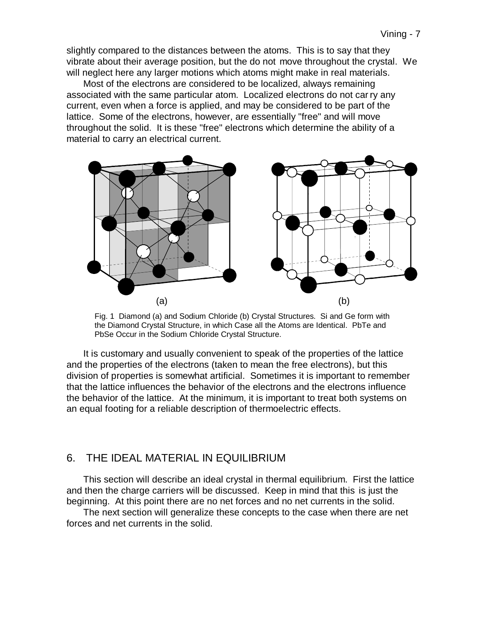slightly compared to the distances between the atoms. This is to say that they vibrate about their average position, but the do not move throughout the crystal. We will neglect here any larger motions which atoms might make in real materials.

Most of the electrons are considered to be localized, always remaining associated with the same particular atom. Localized electrons do not carry any current, even when a force is applied, and may be considered to be part of the lattice. Some of the electrons, however, are essentially "free" and will move throughout the solid. It is these "free" electrons which determine the ability of a material to carry an electrical current.



Fig. 1 Diamond (a) and Sodium Chloride (b) Crystal Structures. Si and Ge form with the Diamond Crystal Structure, in which Case all the Atoms are Identical. PbTe and PbSe Occur in the Sodium Chloride Crystal Structure.

It is customary and usually convenient to speak of the properties of the lattice and the properties of the electrons (taken to mean the free electrons), but this division of properties is somewhat artificial. Sometimes it is important to remember that the lattice influences the behavior of the electrons and the electrons influence the behavior of the lattice. At the minimum, it is important to treat both systems on an equal footing for a reliable description of thermoelectric effects.

### 6. THE IDEAL MATERIAL IN EQUILIBRIUM

This section will describe an ideal crystal in thermal equilibrium. First the lattice and then the charge carriers will be discussed. Keep in mind that this is just the beginning. At this point there are no net forces and no net currents in the solid.

The next section will generalize these concepts to the case when there are net forces and net currents in the solid.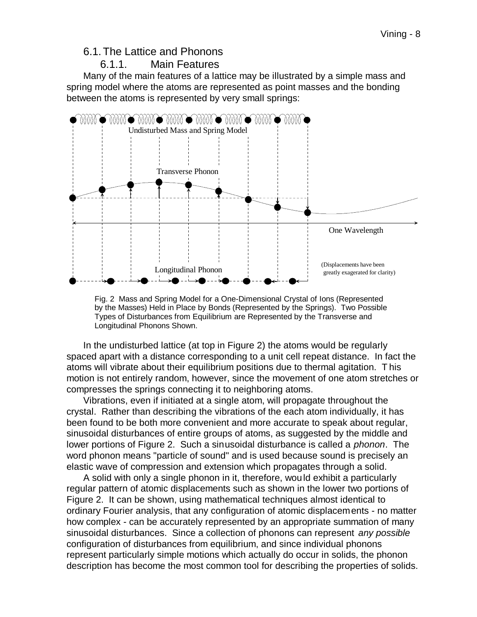#### 6.1.The Lattice and Phonons

#### 6.1.1. Main Features

Many of the main features of a lattice may be illustrated by a simple mass and spring model where the atoms are represented as point masses and the bonding between the atoms is represented by very small springs:



Fig. 2 Mass and Spring Model for a One-Dimensional Crystal of Ions (Represented by the Masses) Held in Place by Bonds (Represented by the Springs). Two Possible Types of Disturbances from Equilibrium are Represented by the Transverse and Longitudinal Phonons Shown.

In the undisturbed lattice (at top in Figure 2) the atoms would be regularly spaced apart with a distance corresponding to a unit cell repeat distance. In fact the atoms will vibrate about their equilibrium positions due to thermal agitation. T his motion is not entirely random, however, since the movement of one atom stretches or compresses the springs connecting it to neighboring atoms.

Vibrations, even if initiated at a single atom, will propagate throughout the crystal. Rather than describing the vibrations of the each atom individually, it has been found to be both more convenient and more accurate to speak about regular, sinusoidal disturbances of entire groups of atoms, as suggested by the middle and lower portions of Figure 2. Such a sinusoidal disturbance is called a *phonon*. The word phonon means "particle of sound" and is used because sound is precisely an elastic wave of compression and extension which propagates through a solid.

A solid with only a single phonon in it, therefore, would exhibit a particularly regular pattern of atomic displacements such as shown in the lower two portions of Figure 2. It can be shown, using mathematical techniques almost identical to ordinary Fourier analysis, that any configuration of atomic displacements - no matter how complex - can be accurately represented by an appropriate summation of many sinusoidal disturbances. Since a collection of phonons can represent *any possible*  configuration of disturbances from equilibrium, and since individual phonons represent particularly simple motions which actually do occur in solids, the phonon description has become the most common tool for describing the properties of solids.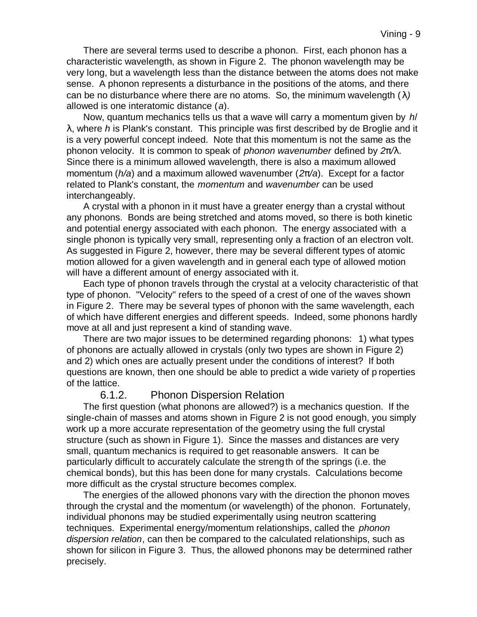There are several terms used to describe a phonon. First, each phonon has a characteristic wavelength, as shown in Figure 2. The phonon wavelength may be very long, but a wavelength less than the distance between the atoms does not make sense. A phonon represents a disturbance in the positions of the atoms, and there can be no disturbance where there are no atoms. So, the minimum wavelength (*l)* allowed is one interatomic distance (*a*).

Now, quantum mechanics tells us that a wave will carry a momentum given by *h*/ λ, where *h* is Plank's constant. This principle was first described by de Broglie and it is a very powerful concept indeed. Note that this momentum is not the same as the phonon velocity. It is common to speak of *phonon wavenumber* defined by *2p/l*. Since there is a minimum allowed wavelength, there is also a maximum allowed momentum (*h/a*) and a maximum allowed wavenumber (*2p/a*). Except for a factor related to Plank's constant, the *momentum* and *wavenumber* can be used interchangeably.

A crystal with a phonon in it must have a greater energy than a crystal without any phonons. Bonds are being stretched and atoms moved, so there is both kinetic and potential energy associated with each phonon. The energy associated with a single phonon is typically very small, representing only a fraction of an electron volt. As suggested in Figure 2, however, there may be several different types of atomic motion allowed for a given wavelength and in general each type of allowed motion will have a different amount of energy associated with it.

Each type of phonon travels through the crystal at a velocity characteristic of that type of phonon. "Velocity" refers to the speed of a crest of one of the waves shown in Figure 2. There may be several types of phonon with the same wavelength, each of which have different energies and different speeds. Indeed, some phonons hardly move at all and just represent a kind of standing wave.

There are two major issues to be determined regarding phonons: 1) what types of phonons are actually allowed in crystals (only two types are shown in Figure 2) and 2) which ones are actually present under the conditions of interest? If both questions are known, then one should be able to predict a wide variety of p roperties of the lattice.

### 6.1.2. Phonon Dispersion Relation

The first question (what phonons are allowed?) is a mechanics question. If the single-chain of masses and atoms shown in Figure 2 is not good enough, you simply work up a more accurate representation of the geometry using the full crystal structure (such as shown in Figure 1). Since the masses and distances are very small, quantum mechanics is required to get reasonable answers. It can be particularly difficult to accurately calculate the strength of the springs (i.e. the chemical bonds), but this has been done for many crystals. Calculations become more difficult as the crystal structure becomes complex.

The energies of the allowed phonons vary with the direction the phonon moves through the crystal and the momentum (or wavelength) of the phonon. Fortunately, individual phonons may be studied experimentally using neutron scattering techniques. Experimental energy/momentum relationships, called the *phonon dispersion relation*, can then be compared to the calculated relationships, such as shown for silicon in Figure 3. Thus, the allowed phonons may be determined rather precisely.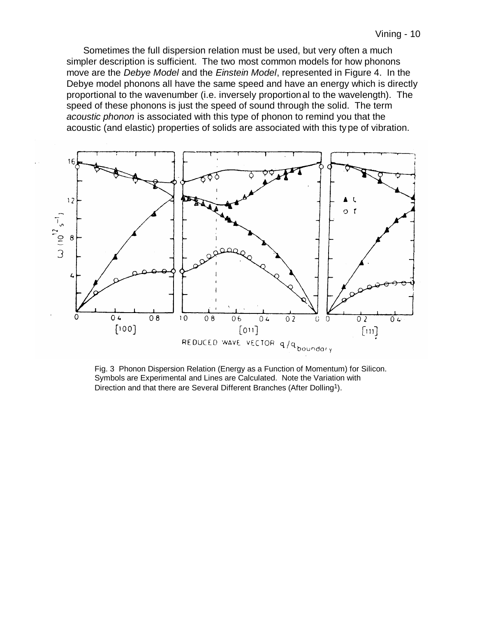Sometimes the full dispersion relation must be used, but very often a much simpler description is sufficient. The two most common models for how phonons move are the *Debye Model* and the *Einstein Model*, represented in Figure 4. In the Debye model phonons all have the same speed and have an energy which is directly proportional to the wavenumber (i.e. inversely proportional to the wavelength). The speed of these phonons is just the speed of sound through the solid. The term *acoustic phonon* is associated with this type of phonon to remind you that the acoustic (and elastic) properties of solids are associated with this type of vibration.



Fig. 3 Phonon Dispersion Relation (Energy as a Function of Momentum) for Silicon. Symbols are Experimental and Lines are Calculated. Note the Variation with Direction and that there are Several Different Branches (After Dolling<sup>1</sup>).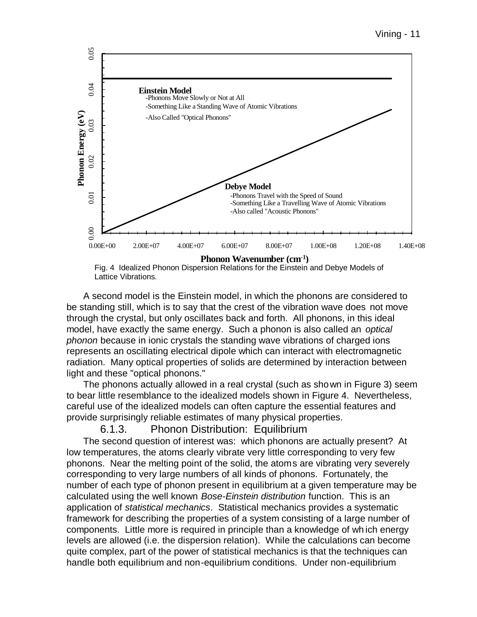

Fig. 4 Idealized Phonon Dispersion Relations for the Einstein and Debye Models of Lattice Vibrations.

A second model is the Einstein model, in which the phonons are considered to be standing still, which is to say that the crest of the vibration wave does not move through the crystal, but only oscillates back and forth. All phonons, in this ideal model, have exactly the same energy. Such a phonon is also called an *optical phonon* because in ionic crystals the standing wave vibrations of charged ions represents an oscillating electrical dipole which can interact with electromagnetic radiation. Many optical properties of solids are determined by interaction between light and these "optical phonons."

The phonons actually allowed in a real crystal (such as shown in Figure 3) seem to bear little resemblance to the idealized models shown in Figure 4. Nevertheless, careful use of the idealized models can often capture the essential features and provide surprisingly reliable estimates of many physical properties.

#### 6.1.3. Phonon Distribution: Equilibrium

The second question of interest was: which phonons are actually present? At low temperatures, the atoms clearly vibrate very little corresponding to very few phonons. Near the melting point of the solid, the atoms are vibrating very severely corresponding to very large numbers of all kinds of phonons. Fortunately, the number of each type of phonon present in equilibrium at a given temperature may be calculated using the well known *Bose-Einstein distribution* function. This is an application of *statistical mechanics*. Statistical mechanics provides a systematic framework for describing the properties of a system consisting of a large number of components. Little more is required in principle than a knowledge of wh ich energy levels are allowed (i.e. the dispersion relation). While the calculations can become quite complex, part of the power of statistical mechanics is that the techniques can handle both equilibrium and non-equilibrium conditions. Under non-equilibrium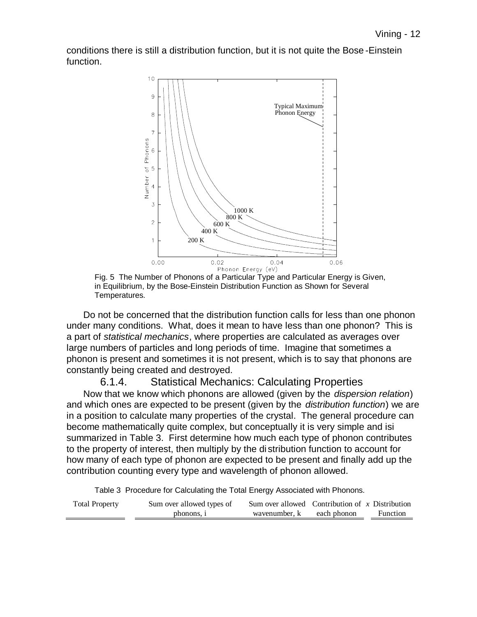conditions there is still a distribution function, but it is not quite the Bose -Einstein function.



Fig. 5 The Number of Phonons of a Particular Type and Particular Energy is Given, in Equilibrium, by the Bose-Einstein Distribution Function as Shown for Several Temperatures.

Do not be concerned that the distribution function calls for less than one phonon under many conditions. What, does it mean to have less than one phonon? This is a part of *statistical mechanics*, where properties are calculated as averages over large numbers of particles and long periods of time. Imagine that sometimes a phonon is present and sometimes it is not present, which is to say that phonons are constantly being created and destroyed.

#### 6.1.4. Statistical Mechanics: Calculating Properties

Now that we know which phonons are allowed (given by the *dispersion relation*) and which ones are expected to be present (given by the *distribution function*) we are in a position to calculate many properties of the crystal. The general procedure can become mathematically quite complex, but conceptually it is very simple and isi summarized in Table 3. First determine how much each type of phonon contributes to the property of interest, then multiply by the di stribution function to account for how many of each type of phonon are expected to be present and finally add up the contribution counting every type and wavelength of phonon allowed.

Table 3 Procedure for Calculating the Total Energy Associated with Phonons.

| <b>Total Property</b> | Sum over allowed types of | Sum over allowed Contribution of x Distribution |             |          |
|-----------------------|---------------------------|-------------------------------------------------|-------------|----------|
|                       | phonons, i                | wavenumber, k                                   | each phonon | Function |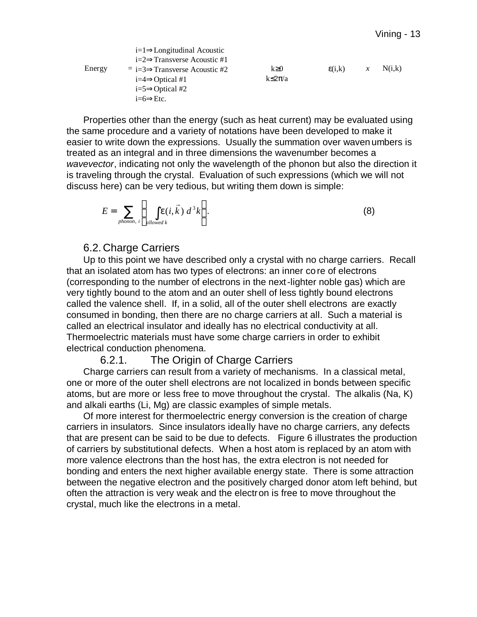|        | $i=1 \Rightarrow$ Longitudinal Acoustic                 |                 |                 |               |        |
|--------|---------------------------------------------------------|-----------------|-----------------|---------------|--------|
|        | $i=2 \implies$ Transverse Acoustic #1                   |                 |                 |               |        |
| Energy | $\overline{=}$ i=3 $\Rightarrow$ Transverse Acoustic #2 | $k \geq 0$      | $\epsilon(i,k)$ | $\mathcal{X}$ | N(i,k) |
|        | $i=4 \implies$ Optical #1                               | $k \leq 2\pi/a$ |                 |               |        |
|        | $i=5 \implies$ Optical #2                               |                 |                 |               |        |
|        | $i=6 \Rightarrow Etc.$                                  |                 |                 |               |        |

Properties other than the energy (such as heat current) may be evaluated using the same procedure and a variety of notations have been developed to make it easier to write down the expressions. Usually the summation over waven umbers is treated as an integral and in three dimensions the wavenumber becomes a *wavevector*, indicating not only the wavelength of the phonon but also the direction it is traveling through the crystal. Evaluation of such expressions (which we will not discuss here) can be very tedious, but writing them down is simple:

$$
E = \sum_{\text{phonon, }i} \left\{ \int_{\text{allowed }k} e(i,\vec{k}) \ d^3k \right\}.
$$
 (8)

#### 6.2. Charge Carriers

Up to this point we have described only a crystal with no charge carriers. Recall that an isolated atom has two types of electrons: an inner co re of electrons (corresponding to the number of electrons in the next-lighter noble gas) which are very tightly bound to the atom and an outer shell of less tightly bound electrons called the valence shell. If, in a solid, all of the outer shell electrons are exactly consumed in bonding, then there are no charge carriers at all. Such a material is called an electrical insulator and ideally has no electrical conductivity at all. Thermoelectric materials must have some charge carriers in order to exhibit electrical conduction phenomena.

#### 6.2.1. The Origin of Charge Carriers

Charge carriers can result from a variety of mechanisms. In a classical metal, one or more of the outer shell electrons are not localized in bonds between specific atoms, but are more or less free to move throughout the crystal. The alkalis (Na, K) and alkali earths (Li, Mg) are classic examples of simple metals.

Of more interest for thermoelectric energy conversion is the creation of charge carriers in insulators. Since insulators ideally have no charge carriers, any defects that are present can be said to be due to defects. Figure 6 illustrates the production of carriers by substitutional defects. When a host atom is replaced by an atom with more valence electrons than the host has, the extra electron is not needed for bonding and enters the next higher available energy state. There is some attraction between the negative electron and the positively charged donor atom left behind, but often the attraction is very weak and the electron is free to move throughout the crystal, much like the electrons in a metal.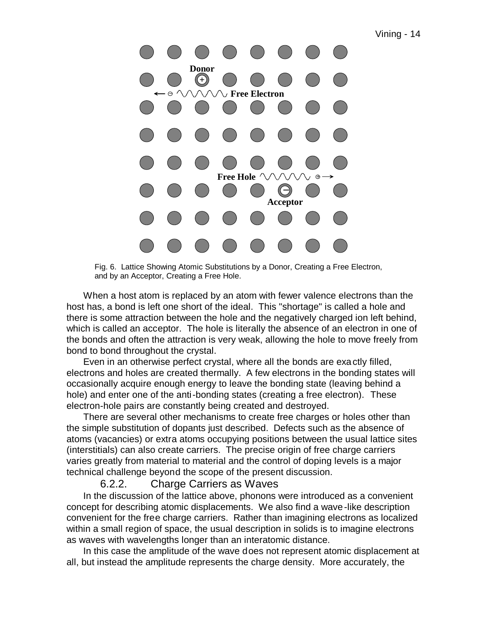

Fig. 6. Lattice Showing Atomic Substitutions by a Donor, Creating a Free Electron, and by an Acceptor, Creating a Free Hole.

When a host atom is replaced by an atom with fewer valence electrons than the host has, a bond is left one short of the ideal. This "shortage" is called a hole and there is some attraction between the hole and the negatively charged ion left behind, which is called an acceptor. The hole is literally the absence of an electron in one of the bonds and often the attraction is very weak, allowing the hole to move freely from bond to bond throughout the crystal.

Even in an otherwise perfect crystal, where all the bonds are exa ctly filled, electrons and holes are created thermally. A few electrons in the bonding states will occasionally acquire enough energy to leave the bonding state (leaving behind a hole) and enter one of the anti-bonding states (creating a free electron). These electron-hole pairs are constantly being created and destroyed.

There are several other mechanisms to create free charges or holes other than the simple substitution of dopants just described. Defects such as the absence of atoms (vacancies) or extra atoms occupying positions between the usual lattice sites (interstitials) can also create carriers. The precise origin of free charge carriers varies greatly from material to material and the control of doping levels is a major technical challenge beyond the scope of the present discussion.

#### 6.2.2. Charge Carriers as Waves

In the discussion of the lattice above, phonons were introduced as a convenient concept for describing atomic displacements. We also find a wave-like description convenient for the free charge carriers. Rather than imagining electrons as localized within a small region of space, the usual description in solids is to imagine electrons as waves with wavelengths longer than an interatomic distance.

In this case the amplitude of the wave does not represent atomic displacement at all, but instead the amplitude represents the charge density. More accurately, the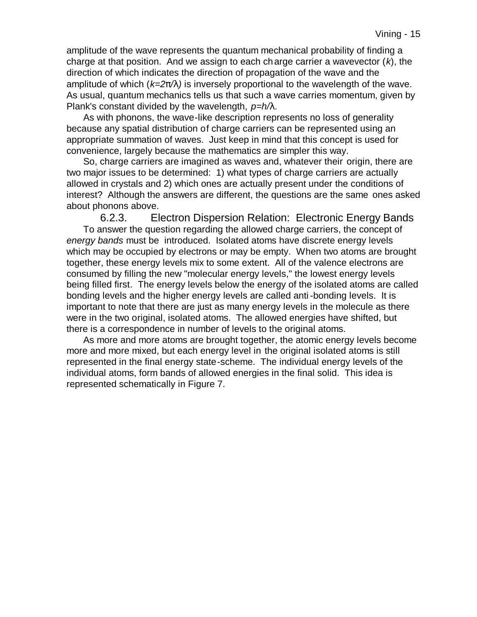amplitude of the wave represents the quantum mechanical probability of finding a charge at that position. And we assign to each charge carrier a wavevector (*k*), the direction of which indicates the direction of propagation of the wave and the amplitude of which (*k=2p/l)* is inversely proportional to the wavelength of the wave. As usual, quantum mechanics tells us that such a wave carries momentum, given by Plank's constant divided by the wavelength, *p=h/l*.

As with phonons, the wave-like description represents no loss of generality because any spatial distribution of charge carriers can be represented using an appropriate summation of waves. Just keep in mind that this concept is used for convenience, largely because the mathematics are simpler this way.

So, charge carriers are imagined as waves and, whatever their origin, there are two major issues to be determined: 1) what types of charge carriers are actually allowed in crystals and 2) which ones are actually present under the conditions of interest? Although the answers are different, the questions are the same ones asked about phonons above.

6.2.3. Electron Dispersion Relation: Electronic Energy Bands To answer the question regarding the allowed charge carriers, the concept of *energy bands* must be introduced. Isolated atoms have discrete energy levels which may be occupied by electrons or may be empty. When two atoms are brought together, these energy levels mix to some extent. All of the valence electrons are consumed by filling the new "molecular energy levels," the lowest energy levels being filled first. The energy levels below the energy of the isolated atoms are called bonding levels and the higher energy levels are called anti-bonding levels. It is important to note that there are just as many energy levels in the molecule as there were in the two original, isolated atoms. The allowed energies have shifted, but there is a correspondence in number of levels to the original atoms.

As more and more atoms are brought together, the atomic energy levels become more and more mixed, but each energy level in the original isolated atoms is still represented in the final energy state-scheme. The individual energy levels of the individual atoms, form bands of allowed energies in the final solid. This idea is represented schematically in Figure 7.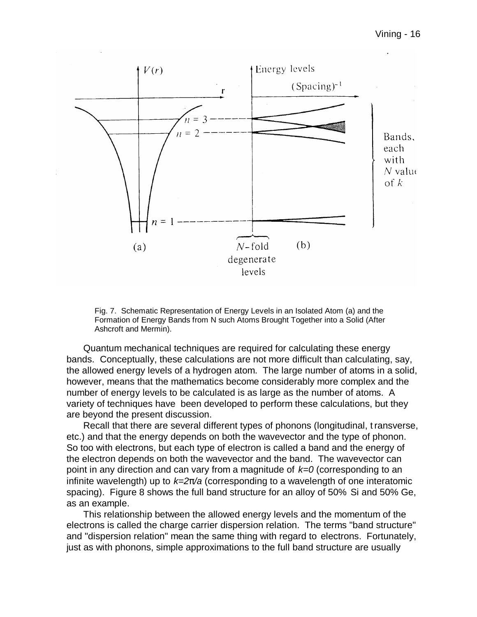

Fig. 7. Schematic Representation of Energy Levels in an Isolated Atom (a) and the Formation of Energy Bands from N such Atoms Brought Together into a Solid (After Ashcroft and Mermin).

Quantum mechanical techniques are required for calculating these energy bands. Conceptually, these calculations are not more difficult than calculating, say, the allowed energy levels of a hydrogen atom. The large number of atoms in a solid, however, means that the mathematics become considerably more complex and the number of energy levels to be calculated is as large as the number of atoms. A variety of techniques have been developed to perform these calculations, but they are beyond the present discussion.

Recall that there are several different types of phonons (longitudinal, t ransverse, etc.) and that the energy depends on both the wavevector and the type of phonon. So too with electrons, but each type of electron is called a band and the energy of the electron depends on both the wavevector and the band. The wavevector can point in any direction and can vary from a magnitude of *k=0* (corresponding to an infinite wavelength) up to *k=2p/a* (corresponding to a wavelength of one interatomic spacing). Figure 8 shows the full band structure for an alloy of 50% Si and 50% Ge, as an example.

This relationship between the allowed energy levels and the momentum of the electrons is called the charge carrier dispersion relation. The terms "band structure" and "dispersion relation" mean the same thing with regard to electrons. Fortunately, just as with phonons, simple approximations to the full band structure are usually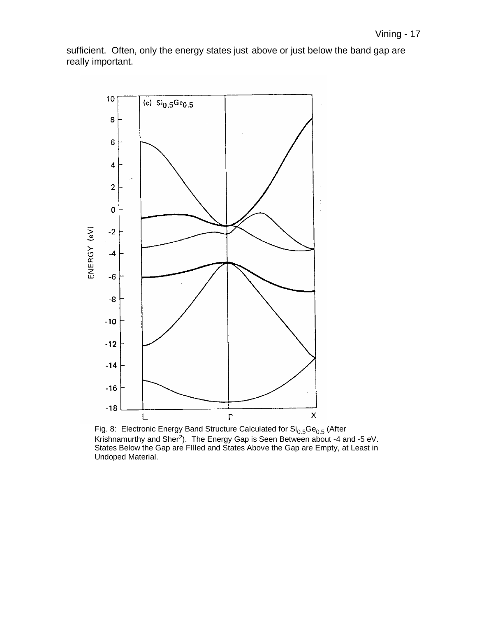sufficient. Often, only the energy states just above or just below the band gap are really important.



Fig. 8: Electronic Energy Band Structure Calculated for  $\text{Si}_{0.5}\text{Ge}_{0.5}$  (After Krishnamurthy and Sher<sup>2</sup>). The Energy Gap is Seen Between about -4 and -5 eV. States Below the Gap are FIlled and States Above the Gap are Empty, at Least in Undoped Material.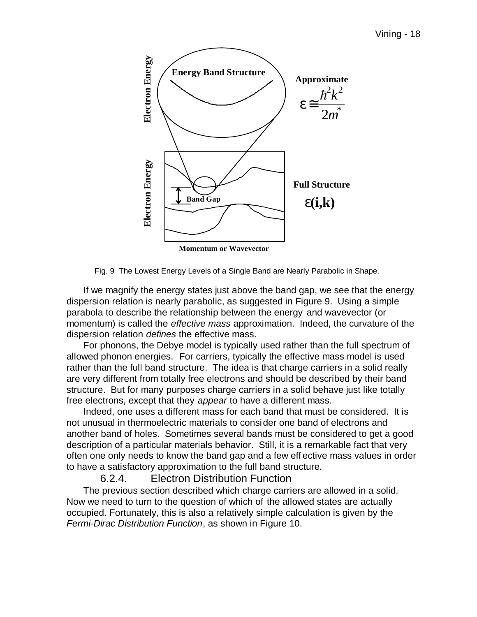

Fig. 9 The Lowest Energy Levels of a Single Band are Nearly Parabolic in Shape.

If we magnify the energy states just above the band gap, we see that the energy dispersion relation is nearly parabolic, as suggested in Figure 9. Using a simple parabola to describe the relationship between the energy and wavevector (or momentum) is called the *effective mass* approximation. Indeed, the curvature of the dispersion relation *defines* the effective mass.

For phonons, the Debye model is typically used rather than the full spectrum of allowed phonon energies. For carriers, typically the effective mass model is used rather than the full band structure. The idea is that charge carriers in a solid really are very different from totally free electrons and should be described by their band structure. But for many purposes charge carriers in a solid behave just like totally free electrons, except that they *appear* to have a different mass.

Indeed, one uses a different mass for each band that must be considered. It is not unusual in thermoelectric materials to consider one band of electrons and another band of holes. Sometimes several bands must be considered to get a good description of a particular materials behavior. Still, it is a remarkable fact that very often one only needs to know the band gap and a few eff ective mass values in order to have a satisfactory approximation to the full band structure.

#### 6.2.4. Electron Distribution Function

The previous section described which charge carriers are allowed in a solid. Now we need to turn to the question of which of the allowed states are actually occupied. Fortunately, this is also a relatively simple calculation is given by the *Fermi-Dirac Distribution Function*, as shown in Figure 10.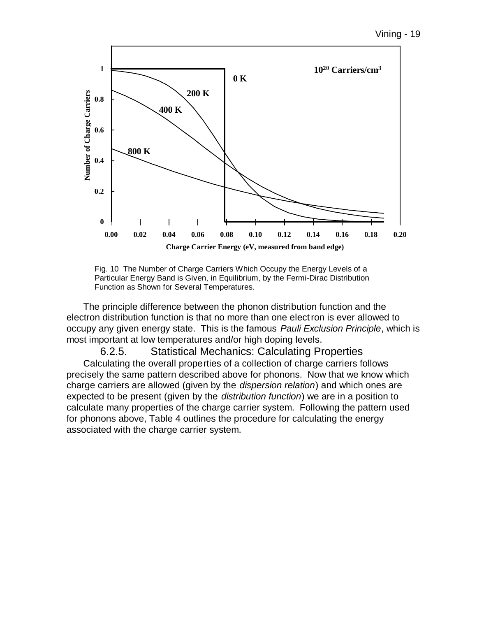



The principle difference between the phonon distribution function and the electron distribution function is that no more than one electron is ever allowed to occupy any given energy state. This is the famous *Pauli Exclusion Principle*, which is most important at low temperatures and/or high doping levels.

6.2.5. Statistical Mechanics: Calculating Properties Calculating the overall properties of a collection of charge carriers follows precisely the same pattern described above for phonons. Now that we know which charge carriers are allowed (given by the *dispersion relation*) and which ones are expected to be present (given by the *distribution function*) we are in a position to calculate many properties of the charge carrier system. Following the pattern used for phonons above, Table 4 outlines the procedure for calculating the energy associated with the charge carrier system.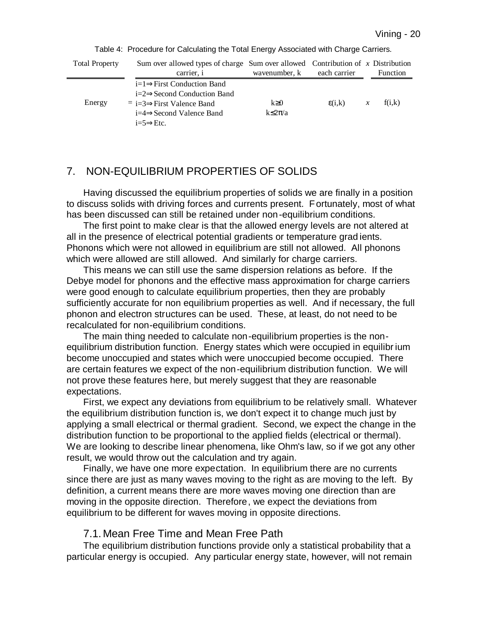| <b>Total Property</b> | Sum over allowed types of charge Sum over allowed Contribution of $x$ Distribution                                                                                                   |                               |                 |               |          |
|-----------------------|--------------------------------------------------------------------------------------------------------------------------------------------------------------------------------------|-------------------------------|-----------------|---------------|----------|
|                       | carrier, i                                                                                                                                                                           | wavenumber, k                 | each carrier    |               | Function |
| Energy                | $i=1 \implies$ First Conduction Band<br>$i=2 \implies$ Second Conduction Band<br>$= i=3 \implies$ First Valence Band<br>$i=4 \Rightarrow$ Second Valence Band<br>$i=5 \implies$ Etc. | $k \geq 0$<br>$k \leq 2\pi/a$ | $\epsilon(i,k)$ | $\mathcal{X}$ | f(i,k)   |

Table 4: Procedure for Calculating the Total Energy Associated with Charge Carriers.

# 7. NON-EQUILIBRIUM PROPERTIES OF SOLIDS

Having discussed the equilibrium properties of solids we are finally in a position to discuss solids with driving forces and currents present. Fortunately, most of what has been discussed can still be retained under non-equilibrium conditions.

The first point to make clear is that the allowed energy levels are not altered at all in the presence of electrical potential gradients or temperature grad ients. Phonons which were not allowed in equilibrium are still not allowed. All phonons which were allowed are still allowed. And similarly for charge carriers.

This means we can still use the same dispersion relations as before. If the Debye model for phonons and the effective mass approximation for charge carriers were good enough to calculate equilibrium properties, then they are probably sufficiently accurate for non equilibrium properties as well. And if necessary, the full phonon and electron structures can be used. These, at least, do not need to be recalculated for non-equilibrium conditions.

The main thing needed to calculate non-equilibrium properties is the nonequilibrium distribution function. Energy states which were occupied in equilibr ium become unoccupied and states which were unoccupied become occupied. There are certain features we expect of the non-equilibrium distribution function. We will not prove these features here, but merely suggest that they are reasonable expectations.

First, we expect any deviations from equilibrium to be relatively small. Whatever the equilibrium distribution function is, we don't expect it to change much just by applying a small electrical or thermal gradient. Second, we expect the change in the distribution function to be proportional to the applied fields (electrical or thermal). We are looking to describe linear phenomena, like Ohm's law, so if we got any other result, we would throw out the calculation and try again.

Finally, we have one more expectation. In equilibrium there are no currents since there are just as many waves moving to the right as are moving to the left. By definition, a current means there are more waves moving one direction than are moving in the opposite direction. Therefore, we expect the deviations from equilibrium to be different for waves moving in opposite directions.

#### 7.1. Mean Free Time and Mean Free Path

The equilibrium distribution functions provide only a statistical probability that a particular energy is occupied. Any particular energy state, however, will not remain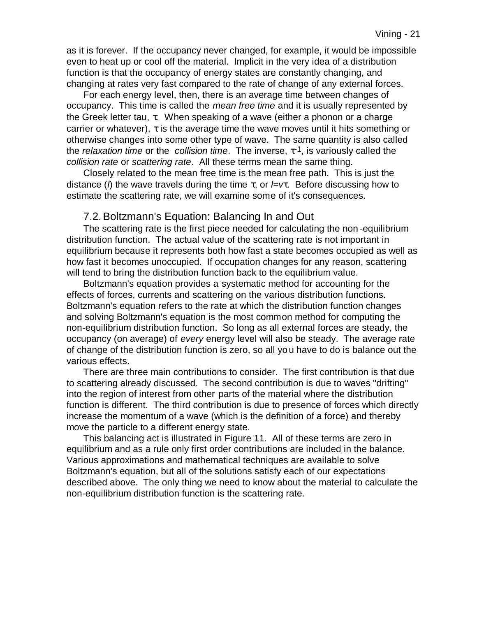as it is forever. If the occupancy never changed, for example, it would be impossible even to heat up or cool off the material. Implicit in the very idea of a distribution function is that the occupancy of energy states are constantly changing, and changing at rates very fast compared to the rate of change of any external forces.

For each energy level, then, there is an average time between changes of occupancy. This time is called the *mean free time* and it is usually represented by the Greek letter tau, τ. When speaking of a wave (either a phonon or a charge carrier or whatever),  $\tau$  is the average time the wave moves until it hits something or otherwise changes into some other type of wave. The same quantity is also called the *relaxation time* or the *collision time*. The inverse, τ -1, is variously called the *collision rate* or *scattering rate*. All these terms mean the same thing.

Closely related to the mean free time is the mean free path. This is just the distance (*l*) the wave travels during the time τ, or *l=vt*. Before discussing how to estimate the scattering rate, we will examine some of it's consequences.

#### 7.2.Boltzmann's Equation: Balancing In and Out

The scattering rate is the first piece needed for calculating the non -equilibrium distribution function. The actual value of the scattering rate is not important in equilibrium because it represents both how fast a state becomes occupied as well as how fast it becomes unoccupied. If occupation changes for any reason, scattering will tend to bring the distribution function back to the equilibrium value.

Boltzmann's equation provides a systematic method for accounting for the effects of forces, currents and scattering on the various distribution functions. Boltzmann's equation refers to the rate at which the distribution function changes and solving Boltzmann's equation is the most common method for computing the non-equilibrium distribution function. So long as all external forces are steady, the occupancy (on average) of *every* energy level will also be steady. The average rate of change of the distribution function is zero, so all you have to do is balance out the various effects.

There are three main contributions to consider. The first contribution is that due to scattering already discussed. The second contribution is due to waves "drifting" into the region of interest from other parts of the material where the distribution function is different. The third contribution is due to presence of forces which directly increase the momentum of a wave (which is the definition of a force) and thereby move the particle to a different energy state.

This balancing act is illustrated in Figure 11. All of these terms are zero in equilibrium and as a rule only first order contributions are included in the balance. Various approximations and mathematical techniques are available to solve Boltzmann's equation, but all of the solutions satisfy each of our expectations described above. The only thing we need to know about the material to calculate the non-equilibrium distribution function is the scattering rate.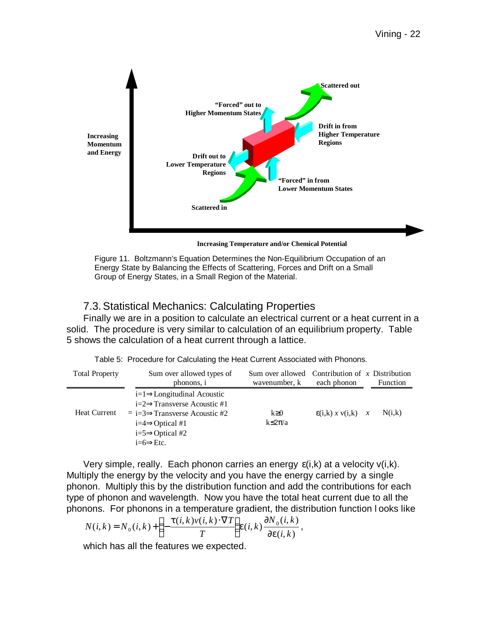

**Increasing Temperature and/or Chemical Potential**

Figure 11. Boltzmann's Equation Determines the Non-Equilibrium Occupation of an Energy State by Balancing the Effects of Scattering, Forces and Drift on a Small Group of Energy States, in a Small Region of the Material.

#### 7.3.Statistical Mechanics: Calculating Properties

Finally we are in a position to calculate an electrical current or a heat current in a solid. The procedure is very similar to calculation of an equilibrium property. Table 5 shows the calculation of a heat current through a lattice.

| Table 5: Procedure for Calculating the Heat Current Associated with Phonons. |
|------------------------------------------------------------------------------|
|------------------------------------------------------------------------------|

| <b>Total Property</b> | Sum over allowed types of                                                                                                                                                                                               |                               | Sum over allowed Contribution of $x$ Distribution |  |          |
|-----------------------|-------------------------------------------------------------------------------------------------------------------------------------------------------------------------------------------------------------------------|-------------------------------|---------------------------------------------------|--|----------|
|                       | phonons, i                                                                                                                                                                                                              | wavenumber, k                 | each phonon                                       |  | Function |
| Heat Current          | $i=1 \implies$ Longitudinal Acoustic<br>$i=2 \implies$ Transverse Acoustic #1<br>$\equiv i = 3 \Rightarrow$ Transverse Acoustic #2<br>$i=4 \implies$ Optical #1<br>$i=5 \implies$ Optical #2<br>$i=6 \Rightarrow E$ tc. | $k \geq 0$<br>$k \leq 2\pi/a$ | $\mathcal{E}(i,k)$ x $v(i,k)$ x                   |  | N(i,k)   |

Very simple, really. Each phonon carries an energy  $\varepsilon(i,k)$  at a velocity  $v(i,k)$ . Multiply the energy by the velocity and you have the energy carried by a single phonon. Multiply this by the distribution function and add the contributions for each type of phonon and wavelength. Now you have the total heat current due to all the phonons. For phonons in a temperature gradient, the distribution function l ooks like

$$
N(i,k) = N_0(i,k) + \left(-\frac{t(i,k)v(i,k) \cdot \nabla T}{T}\right) e(i,k) \frac{\P N_0(i,k)}{\P e(i,k)},
$$

which has all the features we expected.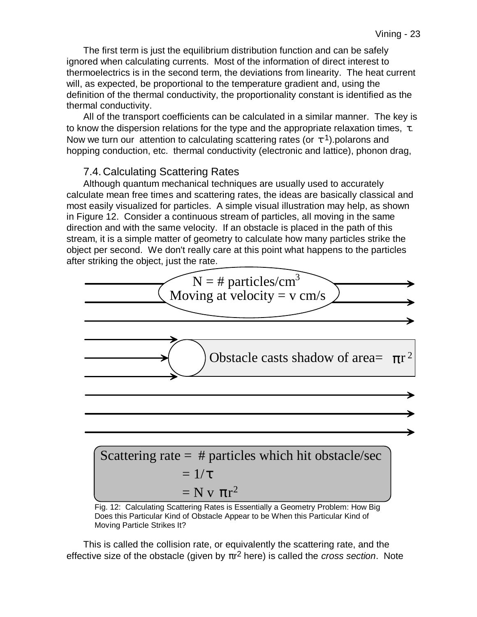The first term is just the equilibrium distribution function and can be safely ignored when calculating currents. Most of the information of direct interest to thermoelectrics is in the second term, the deviations from linearity. The heat current will, as expected, be proportional to the temperature gradient and, using the definition of the thermal conductivity, the proportionality constant is identified as the thermal conductivity.

All of the transport coefficients can be calculated in a similar manner. The key is to know the dispersion relations for the type and the appropriate relaxation times,  $\tau$ . Now we turn our attention to calculating scattering rates (or  $\tau$ <sup>1</sup>).polarons and hopping conduction, etc. thermal conductivity (electronic and lattice), phonon drag,

#### 7.4. Calculating Scattering Rates

Although quantum mechanical techniques are usually used to accurately calculate mean free times and scattering rates, the ideas are basically classical and most easily visualized for particles. A simple visual illustration may help, as shown in Figure 12. Consider a continuous stream of particles, all moving in the same direction and with the same velocity. If an obstacle is placed in the path of this stream, it is a simple matter of geometry to calculate how many particles strike the object per second. We don't really care at this point what happens to the particles after striking the object, just the rate.



Scattering rate = # particles which hit obstacle/sec  
= 
$$
1/\tau
$$
  
= N v  $\pi r^2$ 

Fig. 12: Calculating Scattering Rates is Essentially a Geometry Problem: How Big Does this Particular Kind of Obstacle Appear to be When this Particular Kind of Moving Particle Strikes It?

This is called the collision rate, or equivalently the scattering rate, and the effective size of the obstacle (given by πr 2 here) is called the *cross section*. Note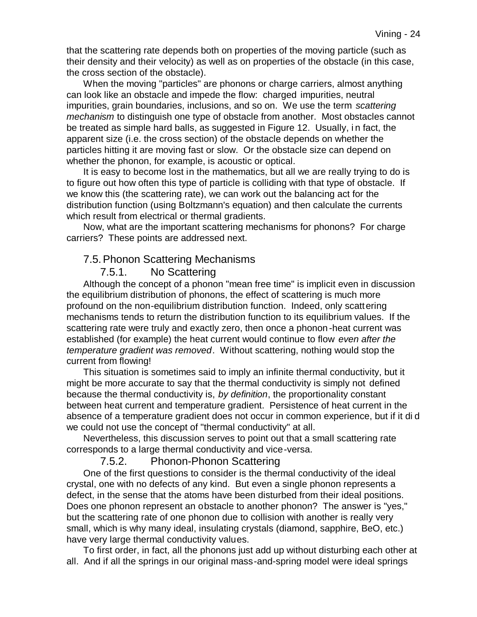that the scattering rate depends both on properties of the moving particle (such as their density and their velocity) as well as on properties of the obstacle (in this case, the cross section of the obstacle).

When the moving "particles" are phonons or charge carriers, almost anything can look like an obstacle and impede the flow: charged impurities, neutral impurities, grain boundaries, inclusions, and so on. We use the term *scattering mechanism* to distinguish one type of obstacle from another. Most obstacles cannot be treated as simple hard balls, as suggested in Figure 12. Usually, i n fact, the apparent size (i.e. the cross section) of the obstacle depends on whether the particles hitting it are moving fast or slow. Or the obstacle size can depend on whether the phonon, for example, is acoustic or optical.

It is easy to become lost in the mathematics, but all we are really trying to do is to figure out how often this type of particle is colliding with that type of obstacle. If we know this (the scattering rate), we can work out the balancing act for the distribution function (using Boltzmann's equation) and then calculate the currents which result from electrical or thermal gradients.

Now, what are the important scattering mechanisms for phonons? For charge carriers? These points are addressed next.

#### 7.5.Phonon Scattering Mechanisms

#### 7.5.1. No Scattering

Although the concept of a phonon "mean free time" is implicit even in discussion the equilibrium distribution of phonons, the effect of scattering is much more profound on the non-equilibrium distribution function. Indeed, only scattering mechanisms tends to return the distribution function to its equilibrium values. If the scattering rate were truly and exactly zero, then once a phonon -heat current was established (for example) the heat current would continue to flow *even after the temperature gradient was removed*. Without scattering, nothing would stop the current from flowing!

This situation is sometimes said to imply an infinite thermal conductivity, but it might be more accurate to say that the thermal conductivity is simply not defined because the thermal conductivity is, *by definition*, the proportionality constant between heat current and temperature gradient. Persistence of heat current in the absence of a temperature gradient does not occur in common experience, but if it di d we could not use the concept of "thermal conductivity" at all.

Nevertheless, this discussion serves to point out that a small scattering rate corresponds to a large thermal conductivity and vice-versa.

7.5.2. Phonon-Phonon Scattering

One of the first questions to consider is the thermal conductivity of the ideal crystal, one with no defects of any kind. But even a single phonon represents a defect, in the sense that the atoms have been disturbed from their ideal positions. Does one phonon represent an obstacle to another phonon? The answer is "yes," but the scattering rate of one phonon due to collision with another is really very small, which is why many ideal, insulating crystals (diamond, sapphire, BeO, etc.) have very large thermal conductivity values.

To first order, in fact, all the phonons just add up without disturbing each other at all. And if all the springs in our original mass-and-spring model were ideal springs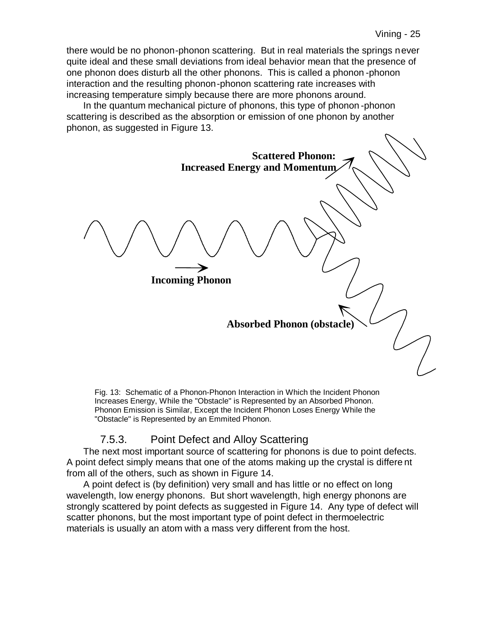there would be no phonon-phonon scattering. But in real materials the springs never quite ideal and these small deviations from ideal behavior mean that the presence of one phonon does disturb all the other phonons. This is called a phonon -phonon interaction and the resulting phonon-phonon scattering rate increases with increasing temperature simply because there are more phonons around.

In the quantum mechanical picture of phonons, this type of phonon -phonon scattering is described as the absorption or emission of one phonon by another phonon, as suggested in Figure 13.



Fig. 13: Schematic of a Phonon-Phonon Interaction in Which the Incident Phonon Increases Energy, While the "Obstacle" is Represented by an Absorbed Phonon. Phonon Emission is Similar, Except the Incident Phonon Loses Energy While the "Obstacle" is Represented by an Emmited Phonon.

# 7.5.3. Point Defect and Alloy Scattering

The next most important source of scattering for phonons is due to point defects. A point defect simply means that one of the atoms making up the crystal is differe nt from all of the others, such as shown in Figure 14.

A point defect is (by definition) very small and has little or no effect on long wavelength, low energy phonons. But short wavelength, high energy phonons are strongly scattered by point defects as suggested in Figure 14. Any type of defect will scatter phonons, but the most important type of point defect in thermoelectric materials is usually an atom with a mass very different from the host.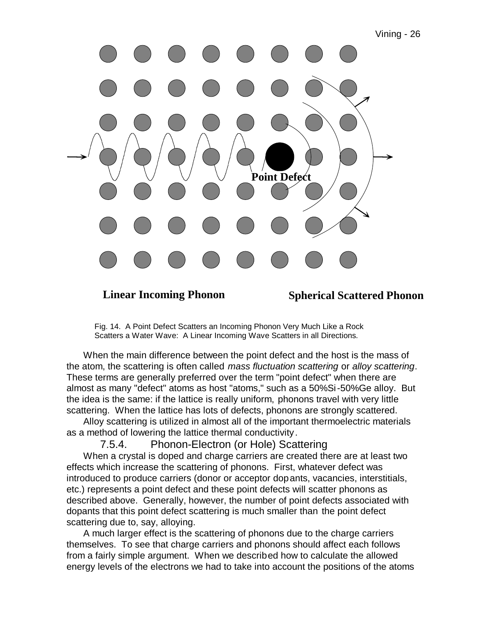

**Linear Incoming Phonon Spherical Scattered Phonon**

Fig. 14. A Point Defect Scatters an Incoming Phonon Very Much Like a Rock Scatters a Water Wave: A Linear Incoming Wave Scatters in all Directions.

When the main difference between the point defect and the host is the mass of the atom, the scattering is often called *mass fluctuation scattering* or *alloy scattering*. These terms are generally preferred over the term "point defect" when there are almost as many "defect" atoms as host "atoms," such as a 50%Si-50%Ge alloy. But the idea is the same: if the lattice is really uniform, phonons travel with very little scattering. When the lattice has lots of defects, phonons are strongly scattered.

Alloy scattering is utilized in almost all of the important thermoelectric materials as a method of lowering the lattice thermal conductivity.

7.5.4. Phonon-Electron (or Hole) Scattering

When a crystal is doped and charge carriers are created there are at least two effects which increase the scattering of phonons. First, whatever defect was introduced to produce carriers (donor or acceptor dopants, vacancies, interstitials, etc.) represents a point defect and these point defects will scatter phonons as described above. Generally, however, the number of point defects associated with dopants that this point defect scattering is much smaller than the point defect scattering due to, say, alloying.

A much larger effect is the scattering of phonons due to the charge carriers themselves. To see that charge carriers and phonons should affect each follows from a fairly simple argument. When we described how to calculate the allowed energy levels of the electrons we had to take into account the positions of the atoms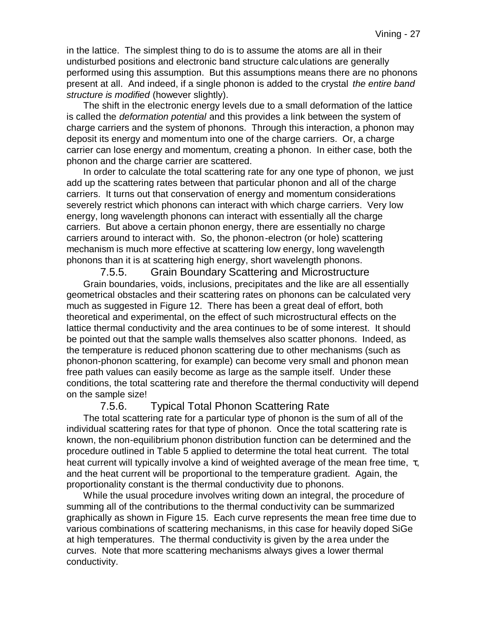in the lattice. The simplest thing to do is to assume the atoms are all in their undisturbed positions and electronic band structure calculations are generally performed using this assumption. But this assumptions means there are no phonons present at all. And indeed, if a single phonon is added to the crystal *the entire band structure is modified* (however slightly).

The shift in the electronic energy levels due to a small deformation of the lattice is called the *deformation potential* and this provides a link between the system of charge carriers and the system of phonons. Through this interaction, a phonon may deposit its energy and momentum into one of the charge carriers. Or, a charge carrier can lose energy and momentum, creating a phonon. In either case, both the phonon and the charge carrier are scattered.

In order to calculate the total scattering rate for any one type of phonon, we just add up the scattering rates between that particular phonon and all of the charge carriers. It turns out that conservation of energy and momentum considerations severely restrict which phonons can interact with which charge carriers. Very low energy, long wavelength phonons can interact with essentially all the charge carriers. But above a certain phonon energy, there are essentially no charge carriers around to interact with. So, the phonon-electron (or hole) scattering mechanism is much more effective at scattering low energy, long wavelength phonons than it is at scattering high energy, short wavelength phonons.

7.5.5. Grain Boundary Scattering and Microstructure Grain boundaries, voids, inclusions, precipitates and the like are all essentially geometrical obstacles and their scattering rates on phonons can be calculated very much as suggested in Figure 12. There has been a great deal of effort, both theoretical and experimental, on the effect of such microstructural effects on the lattice thermal conductivity and the area continues to be of some interest. It should be pointed out that the sample walls themselves also scatter phonons. Indeed, as the temperature is reduced phonon scattering due to other mechanisms (such as phonon-phonon scattering, for example) can become very small and phonon mean free path values can easily become as large as the sample itself. Under these conditions, the total scattering rate and therefore the thermal conductivity will depend on the sample size!

#### 7.5.6. Typical Total Phonon Scattering Rate

The total scattering rate for a particular type of phonon is the sum of all of the individual scattering rates for that type of phonon. Once the total scattering rate is known, the non-equilibrium phonon distribution function can be determined and the procedure outlined in Table 5 applied to determine the total heat current. The total heat current will typically involve a kind of weighted average of the mean free time,  $\tau$ , and the heat current will be proportional to the temperature gradient. Again, the proportionality constant is the thermal conductivity due to phonons.

While the usual procedure involves writing down an integral, the procedure of summing all of the contributions to the thermal conductivity can be summarized graphically as shown in Figure 15. Each curve represents the mean free time due to various combinations of scattering mechanisms, in this case for heavily doped SiGe at high temperatures. The thermal conductivity is given by the a rea under the curves. Note that more scattering mechanisms always gives a lower thermal conductivity.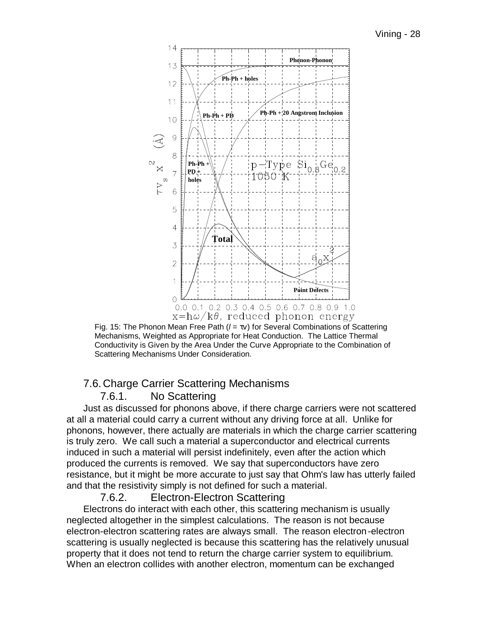

Fig. 15: The Phonon Mean Free Path (*l* = τv) for Several Combinations of Scattering Mechanisms, Weighted as Appropriate for Heat Conduction. The Lattice Thermal Conductivity is Given by the Area Under the Curve Appropriate to the Combination of Scattering Mechanisms Under Consideration.

### 7.6. Charge Carrier Scattering Mechanisms

### 7.6.1. No Scattering

Just as discussed for phonons above, if there charge carriers were not scattered at all a material could carry a current without any driving force at all. Unlike for phonons, however, there actually are materials in which the charge carrier scattering is truly zero. We call such a material a superconductor and electrical currents induced in such a material will persist indefinitely, even after the action which produced the currents is removed. We say that superconductors have zero resistance, but it might be more accurate to just say that Ohm's law has utterly failed and that the resistivity simply is not defined for such a material.

### 7.6.2. Electron-Electron Scattering

Electrons do interact with each other, this scattering mechanism is usually neglected altogether in the simplest calculations. The reason is not because electron-electron scattering rates are always small. The reason electron-electron scattering is usually neglected is because this scattering has the relatively unusual property that it does not tend to return the charge carrier system to equilibrium. When an electron collides with another electron, momentum can be exchanged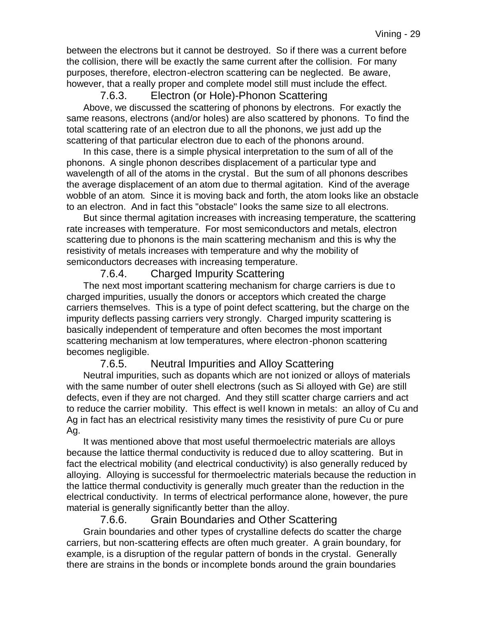between the electrons but it cannot be destroyed. So if there was a current before the collision, there will be exactly the same current after the collision. For many purposes, therefore, electron-electron scattering can be neglected. Be aware, however, that a really proper and complete model still must include the effect.

## 7.6.3. Electron (or Hole)-Phonon Scattering

Above, we discussed the scattering of phonons by electrons. For exactly the same reasons, electrons (and/or holes) are also scattered by phonons. To find the total scattering rate of an electron due to all the phonons, we just add up the scattering of that particular electron due to each of the phonons around.

In this case, there is a simple physical interpretation to the sum of all of the phonons. A single phonon describes displacement of a particular type and wavelength of all of the atoms in the crystal. But the sum of all phonons describes the average displacement of an atom due to thermal agitation. Kind of the average wobble of an atom. Since it is moving back and forth, the atom looks like an obstacle to an electron. And in fact this "obstacle" looks the same size to all electrons.

But since thermal agitation increases with increasing temperature, the scattering rate increases with temperature. For most semiconductors and metals, electron scattering due to phonons is the main scattering mechanism and this is why the resistivity of metals increases with temperature and why the mobility of semiconductors decreases with increasing temperature.

# 7.6.4. Charged Impurity Scattering

The next most important scattering mechanism for charge carriers is due t o charged impurities, usually the donors or acceptors which created the charge carriers themselves. This is a type of point defect scattering, but the charge on the impurity deflects passing carriers very strongly. Charged impurity scattering is basically independent of temperature and often becomes the most important scattering mechanism at low temperatures, where electron-phonon scattering becomes negligible.

### 7.6.5. Neutral Impurities and Alloy Scattering

Neutral impurities, such as dopants which are not ionized or alloys of materials with the same number of outer shell electrons (such as Si alloyed with Ge) are still defects, even if they are not charged. And they still scatter charge carriers and act to reduce the carrier mobility. This effect is well known in metals: an alloy of Cu and Ag in fact has an electrical resistivity many times the resistivity of pure Cu or pure Ag.

It was mentioned above that most useful thermoelectric materials are alloys because the lattice thermal conductivity is reduced due to alloy scattering. But in fact the electrical mobility (and electrical conductivity) is also generally reduced by alloying. Alloying is successful for thermoelectric materials because the reduction in the lattice thermal conductivity is generally much greater than the reduction in the electrical conductivity. In terms of electrical performance alone, however, the pure material is generally significantly better than the alloy.

### 7.6.6. Grain Boundaries and Other Scattering

Grain boundaries and other types of crystalline defects do scatter the charge carriers, but non-scattering effects are often much greater. A grain boundary, for example, is a disruption of the regular pattern of bonds in the crystal. Generally there are strains in the bonds or incomplete bonds around the grain boundaries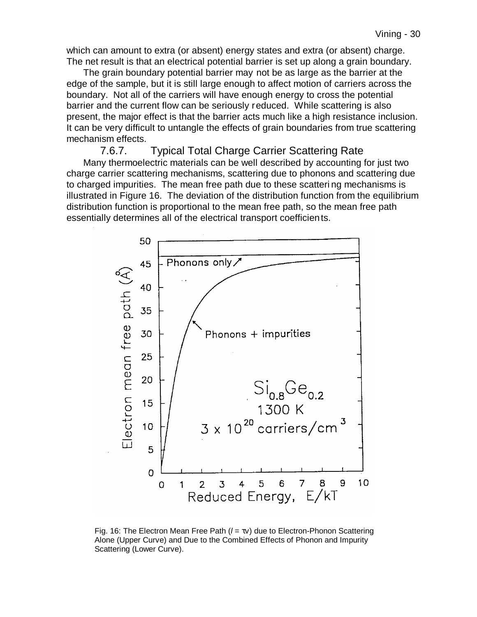which can amount to extra (or absent) energy states and extra (or absent) charge. The net result is that an electrical potential barrier is set up along a grain boundary.

The grain boundary potential barrier may not be as large as the barrier at the edge of the sample, but it is still large enough to affect motion of carriers across the boundary. Not all of the carriers will have enough energy to cross the potential barrier and the current flow can be seriously reduced. While scattering is also present, the major effect is that the barrier acts much like a high resistance inclusion. It can be very difficult to untangle the effects of grain boundaries from true scattering mechanism effects.

#### 7.6.7. Typical Total Charge Carrier Scattering Rate

Many thermoelectric materials can be well described by accounting for just two charge carrier scattering mechanisms, scattering due to phonons and scattering due to charged impurities. The mean free path due to these scatteri ng mechanisms is illustrated in Figure 16. The deviation of the distribution function from the equilibrium distribution function is proportional to the mean free path, so the mean free path essentially determines all of the electrical transport coefficients.



Fig. 16: The Electron Mean Free Path (*l* = τv) due to Electron-Phonon Scattering Alone (Upper Curve) and Due to the Combined Effects of Phonon and Impurity Scattering (Lower Curve).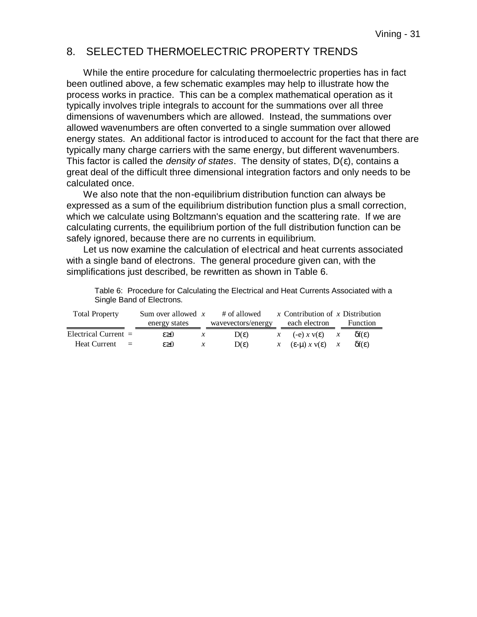#### 8. SELECTED THERMOELECTRIC PROPERTY TRENDS

While the entire procedure for calculating thermoelectric properties has in fact been outlined above, a few schematic examples may help to illustrate how the process works in practice. This can be a complex mathematical operation as it typically involves triple integrals to account for the summations over all three dimensions of wavenumbers which are allowed. Instead, the summations over allowed wavenumbers are often converted to a single summation over allowed energy states. An additional factor is introduced to account for the fact that there are typically many charge carriers with the same energy, but different wavenumbers. This factor is called the *density of states*. The density of states, D(ε), contains a great deal of the difficult three dimensional integration factors and only needs to be calculated once.

We also note that the non-equilibrium distribution function can always be expressed as a sum of the equilibrium distribution function plus a small correction, which we calculate using Boltzmann's equation and the scattering rate. If we are calculating currents, the equilibrium portion of the full distribution function can be safely ignored, because there are no currents in equilibrium.

Let us now examine the calculation of electrical and heat currents associated with a single band of electrons. The general procedure given can, with the simplifications just described, be rewritten as shown in Table 6.

| <b>Total Property</b>           | Sum over allowed $x$ |               | # of allowed       | x Contribution of x Distribution |               |                      |
|---------------------------------|----------------------|---------------|--------------------|----------------------------------|---------------|----------------------|
|                                 | energy states        |               | wavevectors/energy | each electron                    |               | Function             |
| Electrical Current $=$          | $\epsilon \geq 0$    | $\mathcal{X}$ | $D(\varepsilon)$   | $x \quad (-e) x y(\epsilon)$     | $\mathcal{X}$ | $\delta f(\epsilon)$ |
| <b>Heat Current</b><br>$\equiv$ | $\epsilon \geq 0$    | $\mathcal{X}$ | $D(\varepsilon)$   | $x \in E$ -µ) $x \vee E$ $x$     |               | $\delta f(\epsilon)$ |

Table 6: Procedure for Calculating the Electrical and Heat Currents Associated with a Single Band of Electrons.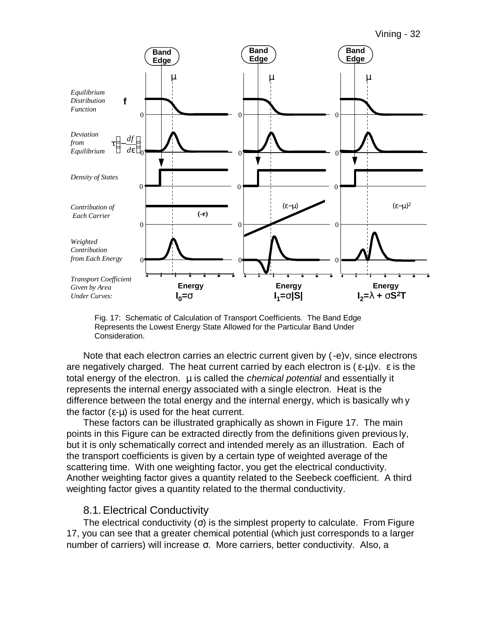

Fig. 17: Schematic of Calculation of Transport Coefficients. The Band Edge Represents the Lowest Energy State Allowed for the Particular Band Under Consideration.

Note that each electron carries an electric current given by  $(-e)y$ , since electrons are negatively charged. The heat current carried by each electron is  $(\epsilon-\mu)v$ .  $\epsilon$  is the total energy of the electron. μ is called the *chemical potential* and essentially it represents the internal energy associated with a single electron. Heat is the difference between the total energy and the internal energy, which is basically wh y the factor  $(ε-μ)$  is used for the heat current.

These factors can be illustrated graphically as shown in Figure 17. The main points in this Figure can be extracted directly from the definitions given previous ly, but it is only schematically correct and intended merely as an illustration. Each of the transport coefficients is given by a certain type of weighted average of the scattering time. With one weighting factor, you get the electrical conductivity. Another weighting factor gives a quantity related to the Seebeck coefficient. A third weighting factor gives a quantity related to the thermal conductivity.

#### 8.1.Electrical Conductivity

The electrical conductivity  $(\sigma)$  is the simplest property to calculate. From Figure 17, you can see that a greater chemical potential (which just corresponds to a larger number of carriers) will increase σ. More carriers, better conductivity. Also, a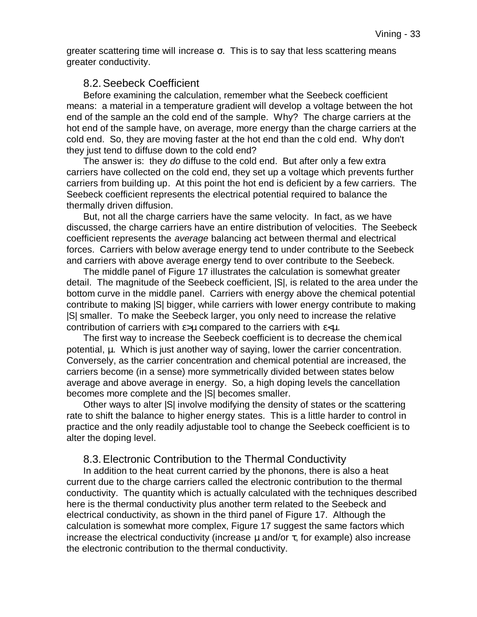greater scattering time will increase  $\sigma$ . This is to say that less scattering means greater conductivity.

#### 8.2.Seebeck Coefficient

Before examining the calculation, remember what the Seebeck coefficient means: a material in a temperature gradient will develop a voltage between the hot end of the sample an the cold end of the sample. Why? The charge carriers at the hot end of the sample have, on average, more energy than the charge carriers at the cold end. So, they are moving faster at the hot end than the c old end. Why don't they just tend to diffuse down to the cold end?

The answer is: they *do* diffuse to the cold end. But after only a few extra carriers have collected on the cold end, they set up a voltage which prevents further carriers from building up. At this point the hot end is deficient by a few carriers. The Seebeck coefficient represents the electrical potential required to balance the thermally driven diffusion.

But, not all the charge carriers have the same velocity. In fact, as we have discussed, the charge carriers have an entire distribution of velocities. The Seebeck coefficient represents the *average* balancing act between thermal and electrical forces. Carriers with below average energy tend to under contribute to the Seebeck and carriers with above average energy tend to over contribute to the Seebeck.

The middle panel of Figure 17 illustrates the calculation is somewhat greater detail. The magnitude of the Seebeck coefficient, |S|, is related to the area under the bottom curve in the middle panel. Carriers with energy above the chemical potential contribute to making |S| bigger, while carriers with lower energy contribute to making |S| smaller. To make the Seebeck larger, you only need to increase the relative contribution of carriers with  $\varepsilon > \mu$  compared to the carriers with  $\varepsilon < \mu$ .

The first way to increase the Seebeck coefficient is to decrease the chemical potential, μ. Which is just another way of saying, lower the carrier concentration. Conversely, as the carrier concentration and chemical potential are increased, the carriers become (in a sense) more symmetrically divided between states below average and above average in energy. So, a high doping levels the cancellation becomes more complete and the |S| becomes smaller.

Other ways to alter |S| involve modifying the density of states or the scattering rate to shift the balance to higher energy states. This is a little harder to control in practice and the only readily adjustable tool to change the Seebeck coefficient is to alter the doping level.

### 8.3.Electronic Contribution to the Thermal Conductivity

In addition to the heat current carried by the phonons, there is also a heat current due to the charge carriers called the electronic contribution to the thermal conductivity. The quantity which is actually calculated with the techniques described here is the thermal conductivity plus another term related to the Seebeck and electrical conductivity, as shown in the third panel of Figure 17. Although the calculation is somewhat more complex, Figure 17 suggest the same factors which increase the electrical conductivity (increase μ and/or τ, for example) also increase the electronic contribution to the thermal conductivity.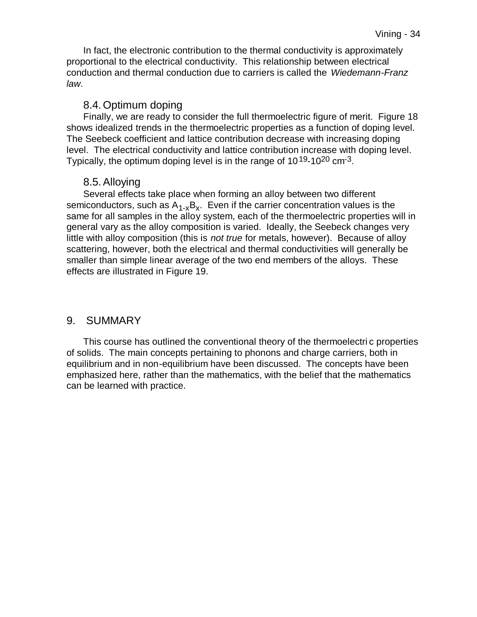In fact, the electronic contribution to the thermal conductivity is approximately proportional to the electrical conductivity. This relationship between electrical conduction and thermal conduction due to carriers is called the *Wiedemann-Franz law*.

### 8.4.Optimum doping

Finally, we are ready to consider the full thermoelectric figure of merit. Figure 18 shows idealized trends in the thermoelectric properties as a function of doping level. The Seebeck coefficient and lattice contribution decrease with increasing doping level. The electrical conductivity and lattice contribution increase with doping level. Typically, the optimum doping level is in the range of 10<sup>19</sup>-10<sup>20</sup> cm<sup>-3</sup>.

# 8.5.Alloying

Several effects take place when forming an alloy between two different semiconductors, such as  $A_{1-x}B_x$ . Even if the carrier concentration values is the same for all samples in the alloy system, each of the thermoelectric properties will in general vary as the alloy composition is varied. Ideally, the Seebeck changes very little with alloy composition (this is *not true* for metals, however). Because of alloy scattering, however, both the electrical and thermal conductivities will generally be smaller than simple linear average of the two end members of the alloys. These effects are illustrated in Figure 19.

# 9. SUMMARY

This course has outlined the conventional theory of the thermoelectri c properties of solids. The main concepts pertaining to phonons and charge carriers, both in equilibrium and in non-equilibrium have been discussed. The concepts have been emphasized here, rather than the mathematics, with the belief that the mathematics can be learned with practice.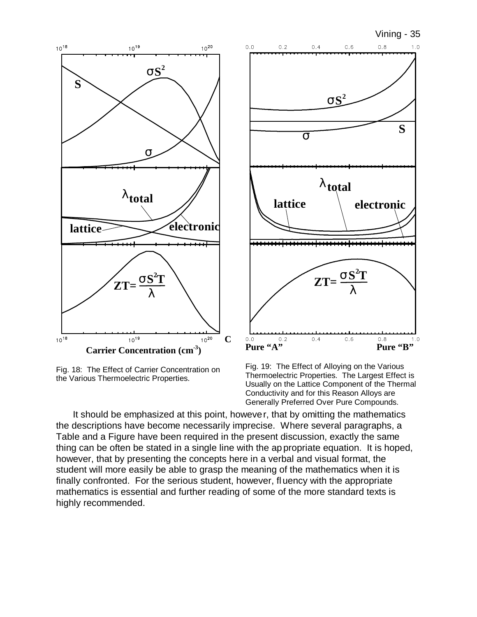

Fig. 18: The Effect of Carrier Concentration on the Various Thermoelectric Properties.



Fig. 19: The Effect of Alloying on the Various Thermoelectric Properties. The Largest Effect is Usually on the Lattice Component of the Thermal Conductivity and for this Reason Alloys are Generally Preferred Over Pure Compounds.

It should be emphasized at this point, however, that by omitting the mathematics the descriptions have become necessarily imprecise. Where several paragraphs, a Table and a Figure have been required in the present discussion, exactly the same thing can be often be stated in a single line with the ap propriate equation. It is hoped, however, that by presenting the concepts here in a verbal and visual format, the student will more easily be able to grasp the meaning of the mathematics when it is finally confronted. For the serious student, however, fl uency with the appropriate mathematics is essential and further reading of some of the more standard texts is highly recommended.